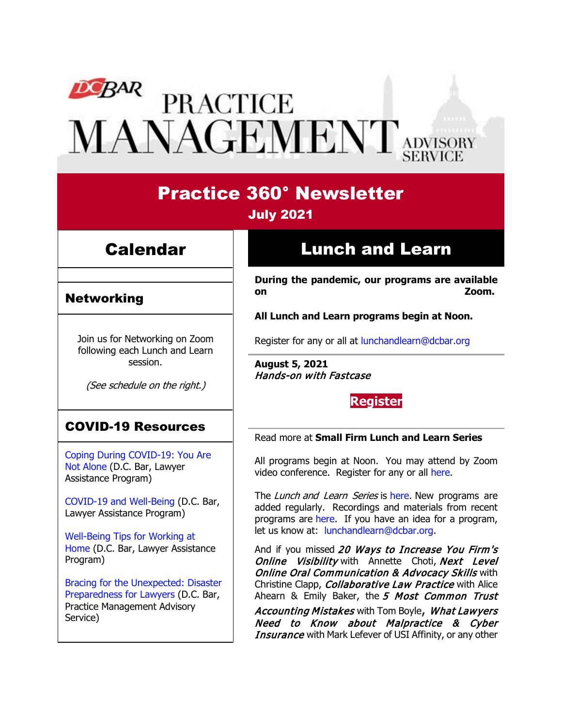# DEBAR PRACTICE<br>MANAGEMENT ADVISORY

## Practice 360° Newsletter July 2021

## Calendar

### Networking

Join us for Networking on Zoom following each Lunch and Learn session.

(See schedule on the right.)

## COVID-19 Resources

[Coping During COVID-19: You Are](https://www.dcbar.org/news-events/news/coping-during-covid-19-you-are-not-alone?utm_source=Real%20Magnet&utm_medium=INSERT_CHANNEL&utm_campaign=INSERT_LINK_ID)  [Not Alone](https://www.dcbar.org/news-events/news/coping-during-covid-19-you-are-not-alone?utm_source=Real%20Magnet&utm_medium=INSERT_CHANNEL&utm_campaign=INSERT_LINK_ID) (D.C. Bar, Lawyer Assistance Program)

[COVID-19 and Well-Being](https://dcbarcms-uat3.i3digital.com/DCBar/i3Base/DCBar/For%20Lawyers/Lawyer%20Assistance%20Program/PDFs/covid-19-and-well-being.pdf) (D.C. Bar, Lawyer Assistance Program)

[Well-Being Tips for Working at](https://dcbarcms-uat3.i3digital.com/DCBar/i3Base/DCBar/For%20Lawyers/Lawyer%20Assistance%20Program/PDFs/Wellness-Tips-Working-From-Home.pdf)  [Home](https://dcbarcms-uat3.i3digital.com/DCBar/i3Base/DCBar/For%20Lawyers/Lawyer%20Assistance%20Program/PDFs/Wellness-Tips-Working-From-Home.pdf) (D.C. Bar, Lawyer Assistance Program)

[Bracing for the Unexpected: Disaster](https://www.dcbar.org/news-events/news/bracing-for-the-unexpected-disaster-preparedness-f?utm_source=Real%20Magnet&utm_medium=INSERT_CHANNEL&utm_campaign=INSERT_LINK_ID)  [Preparedness for Lawyers](https://www.dcbar.org/news-events/news/bracing-for-the-unexpected-disaster-preparedness-f?utm_source=Real%20Magnet&utm_medium=INSERT_CHANNEL&utm_campaign=INSERT_LINK_ID) (D.C. Bar, Practice Management Advisory Service)

# Lunch and Learn

**During the pandemic, our programs are available on Zoom.**

**All Lunch and Learn programs begin at Noon.**

Register for any or all at [lunchandlearn@dcbar.org](mailto:lunchandlearn@dcbar.org?subject=Lunch%20and%20Learn)

**August 5, 2021** Hands-on with Fastcase

## **[Register](https://dcbar.inreachce.com/Details/Information/1d1add78-5e1b-4a3c-863a-246f01467d71)**

#### Read more at **[Small Firm Lunch](https://www.dcbar.org/for-lawyers/practice-management-advisory-service/courses-and-trainings/small-firm-lunch-and-learn-series?utm_source=Real%20Magnet&utm_medium=INSERT_CHANNEL&utm_campaign=INSERT_LINK_ID) and Learn Series**

All programs begin at Noon. You may attend by Zoom video conference. Register for any or all [here.](https://www.dcbar.org/for-lawyers/practice-management-advisory-service/courses-and-trainings/small-firm-lunch-and-learn-series?utm_source=Real%20Magnet&utm_medium=INSERT_CHANNEL&utm_campaign=INSERT_LINK_ID)

The Lunch and Learn Series is [here.](https://www.dcbar.org/for-lawyers/practice-management-advisory-service/courses-and-trainings/small-firm-lunch-and-learn-series?utm_source=Real%20Magnet&utm_medium=INSERT_CHANNEL&utm_campaign=INSERT_LINK_ID) New programs are added regularly. Recordings and materials from recent programs are [here.](https://www.dcbar.org/for-lawyers/practice-management-advisory-service/courses-and-trainings/small-firm-lunch-and-learn-series/past-lunch-and-learn-programs?utm_source=Real%20Magnet&utm_medium=INSERT_CHANNEL&utm_campaign=INSERT_LINK_ID) If you have an idea for a program, let us know at: [lunchandlearn@dcbar.org.](mailto:lunchandlearn@dcbar.org)

And if you missed 20 Ways to Increase You Firm's Online Visibility with Annette Choti, Next Level **Online Oral Communication & Advocacy Skills with** Christine Clapp, *Collaborative Law Practice* with Alice Ahearn & Emily Baker, the 5 Most Common Trust

Accounting Mistakes with Tom Boyle, What Lawyers Need to Know about Malpractice & Cyber **Insurance** with Mark Lefever of USI Affinity, or any other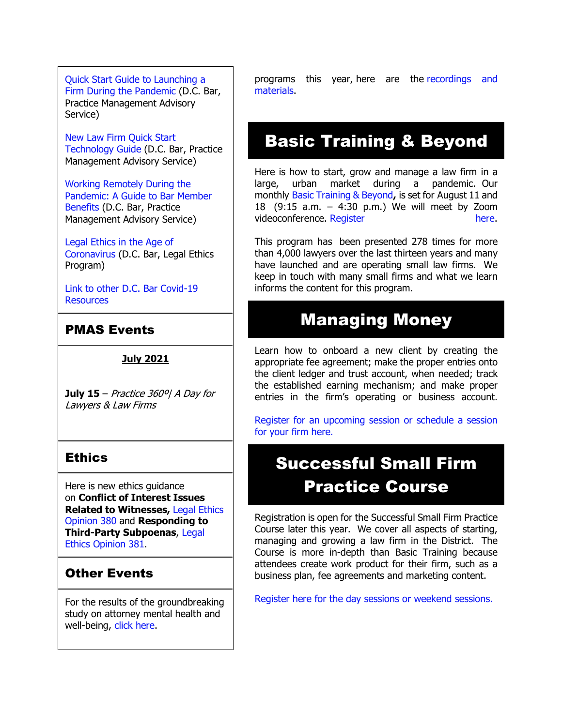[Quick Start Guide to Launching a](https://www.dcbar.org/getmedia/d28b7c4b-3dcb-419e-828d-fdc2340588f9/Career-disruption-setting-up-a-law-firm-quickly-resources?utm_source=Real%20Magnet&utm_medium=INSERT_CHANNEL&utm_campaign=INSERT_LINK_ID)  [Firm During the Pandemic](https://www.dcbar.org/getmedia/d28b7c4b-3dcb-419e-828d-fdc2340588f9/Career-disruption-setting-up-a-law-firm-quickly-resources?utm_source=Real%20Magnet&utm_medium=INSERT_CHANNEL&utm_campaign=INSERT_LINK_ID) (D.C. Bar, Practice Management Advisory Service)

[New Law Firm Quick Start](https://www.dcbar.org/getmedia/34a3addd-9a13-4fc7-8e68-fbc2be8b50e0/Quick-start-Tech-Guide-final?utm_source=Real%20Magnet&utm_medium=INSERT_CHANNEL&utm_campaign=INSERT_LINK_ID)  [Technology Guide](https://www.dcbar.org/getmedia/34a3addd-9a13-4fc7-8e68-fbc2be8b50e0/Quick-start-Tech-Guide-final?utm_source=Real%20Magnet&utm_medium=INSERT_CHANNEL&utm_campaign=INSERT_LINK_ID) (D.C. Bar, Practice Management Advisory Service)

[Working Remotely During the](https://www.dcbar.org/news-events/news/working-remotely-during-the-pandemic-a-guide-to-ba?utm_source=Real%20Magnet&utm_medium=INSERT_CHANNEL&utm_campaign=INSERT_LINK_ID)  [Pandemic: A Guide to Bar Member](https://www.dcbar.org/news-events/news/working-remotely-during-the-pandemic-a-guide-to-ba?utm_source=Real%20Magnet&utm_medium=INSERT_CHANNEL&utm_campaign=INSERT_LINK_ID)  [Benefits](https://www.dcbar.org/news-events/news/working-remotely-during-the-pandemic-a-guide-to-ba?utm_source=Real%20Magnet&utm_medium=INSERT_CHANNEL&utm_campaign=INSERT_LINK_ID) (D.C. Bar, Practice Management Advisory Service)

[Legal Ethics in the Age of](https://www.dcbar.org/news-events/news/legal-ethics-in-the-age-of-the-coronavirus?utm_source=Real%20Magnet&utm_medium=INSERT_CHANNEL&utm_campaign=INSERT_LINK_ID)  [Coronavirus](https://www.dcbar.org/news-events/news/legal-ethics-in-the-age-of-the-coronavirus?utm_source=Real%20Magnet&utm_medium=INSERT_CHANNEL&utm_campaign=INSERT_LINK_ID) (D.C. Bar, Legal Ethics Program)

[Link to other D.C. Bar Covid-19](https://www.dcbar.org/for-lawyers/membership/covid-19-resources?utm_source=Real%20Magnet&utm_medium=INSERT_CHANNEL&utm_campaign=INSERT_LINK_ID)  **[Resources](https://www.dcbar.org/for-lawyers/membership/covid-19-resources?utm_source=Real%20Magnet&utm_medium=INSERT_CHANNEL&utm_campaign=INSERT_LINK_ID)** 

### PMAS Events

#### **July 2021**

**July 15** – Practice 360º| A Day for Lawyers & Law Firms

#### Ethics

Here is new ethics guidance on **Conflict of Interest Issues Related to Witnesses,** [Legal Ethics](https://www.dcbar.org/getmedia/157836df-95d6-423c-b928-3dd1ce946c3b/opinion_380-(1)?utm_source=Real%20Magnet&utm_medium=INSERT_CHANNEL&utm_campaign=INSERT_LINK_ID)  [Opinion 380](https://www.dcbar.org/getmedia/157836df-95d6-423c-b928-3dd1ce946c3b/opinion_380-(1)?utm_source=Real%20Magnet&utm_medium=INSERT_CHANNEL&utm_campaign=INSERT_LINK_ID) and **Responding to Third-Party Subpoenas**, [Legal](https://www.dcbar.org/getmedia/841cc5e4-dffc-4da0-bc1a-b96e7f48f100/opinion_381?utm_source=Real%20Magnet&utm_medium=INSERT_CHANNEL&utm_campaign=INSERT_LINK_ID)  [Ethics Opinion 381.](https://www.dcbar.org/getmedia/841cc5e4-dffc-4da0-bc1a-b96e7f48f100/opinion_381?utm_source=Real%20Magnet&utm_medium=INSERT_CHANNEL&utm_campaign=INSERT_LINK_ID)

## Other Events

For the results of the groundbreaking study on attorney mental health and well-being, [click here.](https://www.dcbar.org/news-events/news/california-lawyers-association-and-the-d-c-bar-ann?utm_source=Real%20Magnet&utm_medium=INSERT_CHANNEL&utm_campaign=INSERT_LINK_ID)

programs this year, here are the [recordings and](https://www.dcbar.org/for-lawyers/practice-management-advisory-service/courses-and-trainings/small-firm-lunch-and-learn-series/past-lunch-and-learn-programs?utm_source=Real%20Magnet&utm_medium=INSERT_CHANNEL&utm_campaign=INSERT_LINK_ID)  [materials.](https://www.dcbar.org/for-lawyers/practice-management-advisory-service/courses-and-trainings/small-firm-lunch-and-learn-series/past-lunch-and-learn-programs?utm_source=Real%20Magnet&utm_medium=INSERT_CHANNEL&utm_campaign=INSERT_LINK_ID)

## Basic Training & Beyond

Here is how to start, grow and manage a law firm in a large, urban market during a pandemic. Our monthly [Basic Training & Beyond](http://www.mmsend31.com/link.cfm?r=zvkjaWqFFUTRz65Avl-Ftw%7E%7E&pe=c3ph7NU-Re1l6uj-xoZC_Nqnf2HGTrpIRRfl_qZmlgZN_I06rShTZ-AlGs0Wp7CGgKUozsdU2izsioLhmXaRbg%7E%7E&t=prXb-jowJMuBRf73r4YKRA%7E%7E)**,** is set for August 11 and 18 (9:15 a.m. – 4:30 p.m.) We will meet by Zoom videoconference. [Register here.](http://www.mmsend31.com/link.cfm?r=zvkjaWqFFUTRz65Avl-Ftw%7E%7E&pe=BxjSlIjTK_3i3Os02s37pODjnSEaSaIBfLm0UarKy-K07-G29KY0F7SoVNdKQgSYIVrXVvuyFBcMiPY5X35JOA%7E%7E&t=prXb-jowJMuBRf73r4YKRA%7E%7E)

This program has been presented 278 times for more than 4,000 lawyers over the last thirteen years and many have launched and are operating small law firms. We keep in touch with many small firms and what we learn informs the content for this program.

## Managing Money

Learn how to onboard a new client by creating the appropriate fee agreement; make the proper entries onto the client ledger and trust account, when needed; track the established earning mechanism; and make proper entries in the firm's operating or business account.

[Register for an upcoming session or schedule a session](https://www.dcbar.org/for-lawyers/practice-management-advisory-service/courses-and-trainings/managing-money?utm_source=Real%20Magnet&utm_medium=INSERT_CHANNEL&utm_campaign=INSERT_LINK_ID)  [for your firm here.](https://www.dcbar.org/for-lawyers/practice-management-advisory-service/courses-and-trainings/managing-money?utm_source=Real%20Magnet&utm_medium=INSERT_CHANNEL&utm_campaign=INSERT_LINK_ID) 

# Successful Small Firm Practice Course

Registration is open for the Successful Small Firm Practice Course later this year. We cover all aspects of starting, managing and growing a law firm in the District. The Course is more in-depth than Basic Training because attendees create work product for their firm, such as a business plan, fee agreements and marketing content.

[Register here for the day sessions or weekend sessions.](https://www.dcbar.org/for-lawyers/practice-management-advisory-service/courses-and-trainings/successful-small-firm-practice?utm_source=Real%20Magnet&utm_medium=INSERT_CHANNEL&utm_campaign=INSERT_LINK_ID)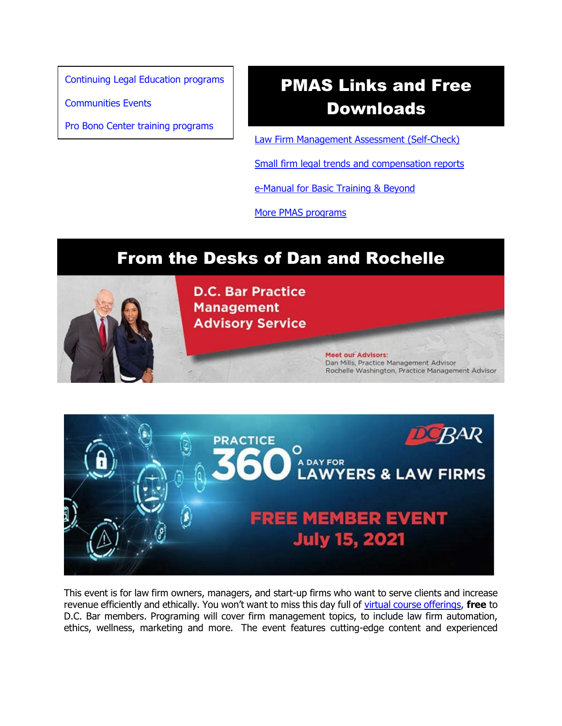[Continuing Legal Education programs](https://dcbar.inreachce.com/SearchResults?searchType=1&category=b7426509-0fca-4650-bf8a-8c9ace05de88)

[Communities Events](https://join.dcbar.org/eweb/DynamicPage.aspx?site=dcbar&webcode=EventList&utm_source=Real%20Magnet&utm_medium=INSERT_CHANNEL&utm_campaign=INSERT_LINK_ID)

[Pro Bono Center training programs](https://www.dcbar.org/pro-bono/resources-and-training/pro-bono-center-training-program?utm_source=Real%20Magnet&utm_medium=INSERT_CHANNEL&utm_campaign=INSERT_LINK_ID)

# PMAS Links and Free Downloads

[Law Firm Management Assessment \(Self-Check\)](https://www.dcbar.org/for-lawyers/practice-management-advisory-service/practice-tips-and-compliance/self-check?utm_source=Real%20Magnet&utm_medium=INSERT_CHANNEL&utm_campaign=INSERT_LINK_ID)

[Small firm legal trends and compensation reports](https://www.dcbar.org/for-lawyers/practice-management-advisory-service/courses-and-trainings/basic-training-beyond/basic-training-beyond-supplements?utm_source=Real%20Magnet&utm_medium=INSERT_CHANNEL&utm_campaign=INSERT_LINK_ID)

[e-Manual for Basic Training & Beyond](https://documentcloud.adobe.com/link/review?uri=urn:aaid:scds:US:2182dc5f-4a8c-435d-bb76-280eddc57a6d)

[More PMAS programs](https://www.dcbar.org/for-lawyers/practice-management-advisory-service/courses-and-trainings?utm_source=Real%20Magnet&utm_medium=INSERT_CHANNEL&utm_campaign=INSERT_LINK_ID)

## From the Desks of Dan and Rochelle





This event is for law firm owners, managers, and start-up firms who want to serve clients and increase revenue efficiently and ethically. You won't want to miss this day full of [virtual course offerings,](https://www.dcbar.org/for-lawyers/practice-management-advisory-service/courses-and-trainings/practice-360%C2%B0/2021-practice-360-program-listing/seminar-descriptions?utm_source=Real%20Magnet&utm_medium=INSERT_CHANNEL&utm_campaign=INSERT_LINK_ID) **free** to D.C. Bar members. Programing will cover firm management topics, to include law firm automation, ethics, wellness, marketing and more. The event features cutting-edge content and experienced